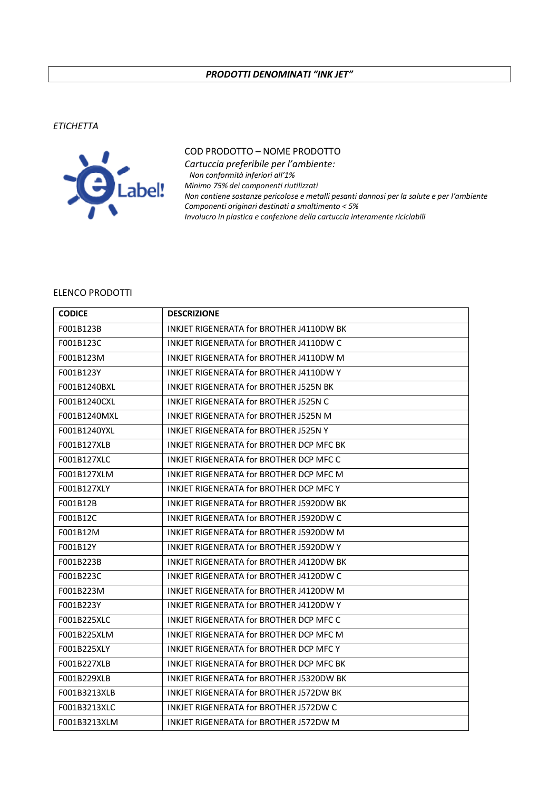## *PRODOTTI DENOMINATI "INK JET"*

*ETICHETTA*



## COD PRODOTTO – NOME PRODOTTO

*Cartuccia preferibile per l'ambiente: Non conformità inferiori all'1% Minimo 75% dei componenti riutilizzati Non contiene sostanze pericolose e metalli pesanti dannosi per la salute e per l'ambiente Componenti originari destinati a smaltimento < 5% Involucro in plastica e confezione della cartuccia interamente riciclabili*

## ELENCO PRODOTTI

| <b>CODICE</b> | <b>DESCRIZIONE</b>                              |
|---------------|-------------------------------------------------|
| F001B123B     | <b>INKJET RIGENERATA for BROTHER J4110DW BK</b> |
| F001B123C     | INKJET RIGENERATA for BROTHER J4110DW C         |
| F001B123M     | INKJET RIGENERATA for BROTHER J4110DW M         |
| F001B123Y     | <b>INKJET RIGENERATA for BROTHER J4110DW Y</b>  |
| F001B1240BXL  | INKJET RIGENERATA for BROTHER J525N BK          |
| F001B1240CXL  | INKJET RIGENERATA for BROTHER J525N C           |
| F001B1240MXL  | INKJET RIGENERATA for BROTHER J525N M           |
| F001B1240YXL  | INKJET RIGENERATA for BROTHER J525N Y           |
| F001B127XLB   | INKJET RIGENERATA for BROTHER DCP MFC BK        |
| F001B127XLC   | INKJET RIGENERATA for BROTHER DCP MFC C         |
| F001B127XLM   | INKJET RIGENERATA for BROTHER DCP MFC M         |
| F001B127XLY   | INKJET RIGENERATA for BROTHER DCP MFC Y         |
| F001B12B      | INKJET RIGENERATA for BROTHER J5920DW BK        |
| F001B12C      | INKJET RIGENERATA for BROTHER J5920DW C         |
| F001B12M      | INKJET RIGENERATA for BROTHER J5920DW M         |
| F001B12Y      | INKJET RIGENERATA for BROTHER J5920DW Y         |
| F001B223B     | INKJET RIGENERATA for BROTHER J4120DW BK        |
| F001B223C     | INKJET RIGENERATA for BROTHER J4120DW C         |
| F001B223M     | INKJET RIGENERATA for BROTHER J4120DW M         |
| F001B223Y     | INKJET RIGENERATA for BROTHER J4120DW Y         |
| F001B225XLC   | INKJET RIGENERATA for BROTHER DCP MFC C         |
| F001B225XLM   | INKJET RIGENERATA for BROTHER DCP MFC M         |
| F001B225XLY   | INKJET RIGENERATA for BROTHER DCP MFC Y         |
| F001B227XLB   | INKJET RIGENERATA for BROTHER DCP MFC BK        |
| F001B229XLB   | INKJET RIGENERATA for BROTHER J5320DW BK        |
| F001B3213XLB  | INKJET RIGENERATA for BROTHER J572DW BK         |
| F001B3213XLC  | INKJET RIGENERATA for BROTHER J572DW C          |
| F001B3213XLM  | INKJET RIGENERATA for BROTHER J572DW M          |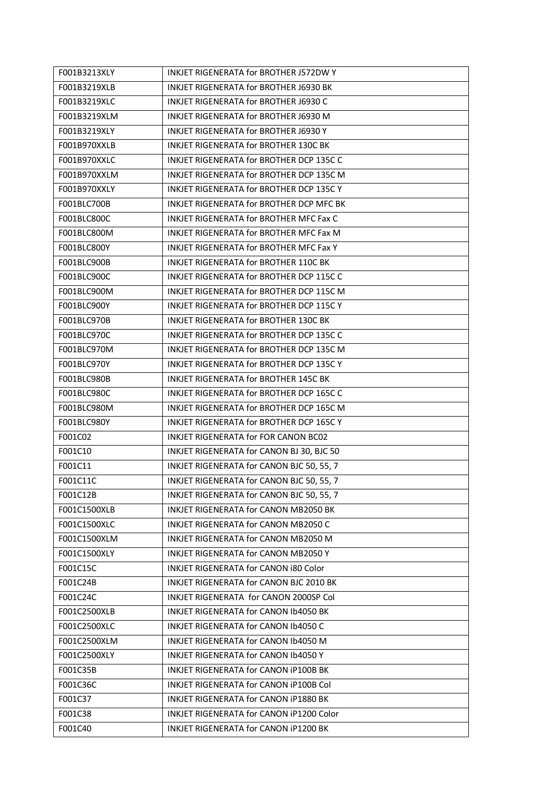| F001B3213XLY | <b>INKJET RIGENERATA for BROTHER J572DW Y</b>   |
|--------------|-------------------------------------------------|
| F001B3219XLB | INKJET RIGENERATA for BROTHER J6930 BK          |
| F001B3219XLC | INKJET RIGENERATA for BROTHER J6930 C           |
| F001B3219XLM | INKJET RIGENERATA for BROTHER J6930 M           |
| F001B3219XLY | INKJET RIGENERATA for BROTHER J6930 Y           |
| F001B970XXLB | INKJET RIGENERATA for BROTHER 130C BK           |
| F001B970XXLC | INKJET RIGENERATA for BROTHER DCP 135C C        |
| F001B970XXLM | INKJET RIGENERATA for BROTHER DCP 135C M        |
| F001B970XXLY | INKJET RIGENERATA for BROTHER DCP 135C Y        |
| F001BLC700B  | INKJET RIGENERATA for BROTHER DCP MFC BK        |
| F001BLC800C  | INKJET RIGENERATA for BROTHER MFC Fax C         |
| F001BLC800M  | INKJET RIGENERATA for BROTHER MFC Fax M         |
| F001BLC800Y  | INKJET RIGENERATA for BROTHER MFC Fax Y         |
| F001BLC900B  | INKJET RIGENERATA for BROTHER 110C BK           |
| F001BLC900C  | INKJET RIGENERATA for BROTHER DCP 115C C        |
| F001BLC900M  | INKJET RIGENERATA for BROTHER DCP 115C M        |
| F001BLC900Y  | <b>INKJET RIGENERATA for BROTHER DCP 115C Y</b> |
| F001BLC970B  | INKJET RIGENERATA for BROTHER 130C BK           |
| F001BLC970C  | INKJET RIGENERATA for BROTHER DCP 135C C        |
| F001BLC970M  | INKJET RIGENERATA for BROTHER DCP 135C M        |
| F001BLC970Y  | INKJET RIGENERATA for BROTHER DCP 135C Y        |
| F001BLC980B  | INKJET RIGENERATA for BROTHER 145C BK           |
| F001BLC980C  | INKJET RIGENERATA for BROTHER DCP 165C C        |
| F001BLC980M  | INKJET RIGENERATA for BROTHER DCP 165C M        |
| F001BLC980Y  | INKJET RIGENERATA for BROTHER DCP 165C Y        |
| F001C02      | INKJET RIGENERATA for FOR CANON BC02            |
| F001C10      | INKJET RIGENERATA for CANON BJ 30, BJC 50       |
| F001C11      | INKJET RIGENERATA for CANON BJC 50, 55, 7       |
| F001C11C     | INKJET RIGENERATA for CANON BJC 50, 55, 7       |
| F001C12B     | INKJET RIGENERATA for CANON BJC 50, 55, 7       |
| F001C1500XLB | INKJET RIGENERATA for CANON MB2050 BK           |
| F001C1500XLC | INKJET RIGENERATA for CANON MB2050 C            |
| F001C1500XLM | INKJET RIGENERATA for CANON MB2050 M            |
| F001C1500XLY | <b>INKJET RIGENERATA for CANON MB2050 Y</b>     |
| F001C15C     | <b>INKJET RIGENERATA for CANON 180 Color</b>    |
| F001C24B     | INKJET RIGENERATA for CANON BJC 2010 BK         |
| F001C24C     | INKJET RIGENERATA for CANON 2000SP Col          |
| F001C2500XLB | INKJET RIGENERATA for CANON Ib4050 BK           |
| F001C2500XLC | INKJET RIGENERATA for CANON Ib4050 C            |
| F001C2500XLM | <b>INKJET RIGENERATA for CANON Ib4050 M</b>     |
| F001C2500XLY | INKJET RIGENERATA for CANON Ib4050 Y            |
| F001C35B     | INKJET RIGENERATA for CANON IP100B BK           |
| F001C36C     | INKJET RIGENERATA for CANON IP100B Col          |
| F001C37      | INKJET RIGENERATA for CANON IP1880 BK           |
| F001C38      | INKJET RIGENERATA for CANON iP1200 Color        |
| F001C40      | INKJET RIGENERATA for CANON IP1200 BK           |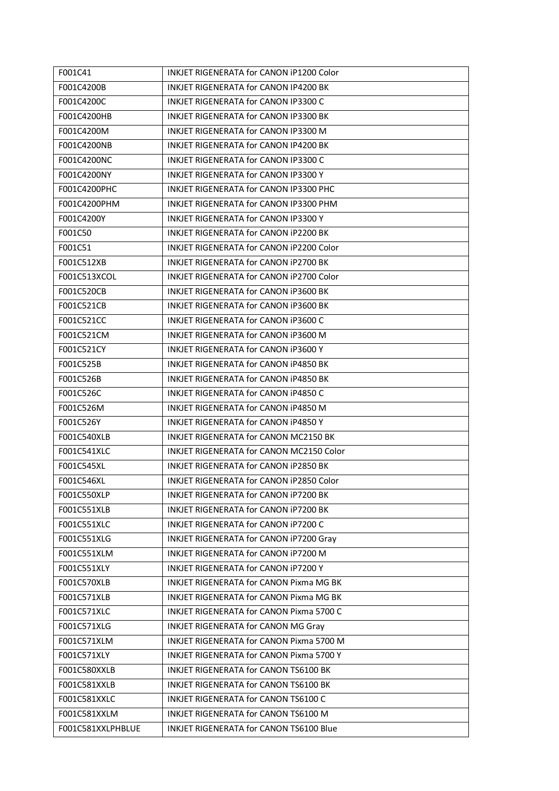| F001C41           | INKJET RIGENERATA for CANON iP1200 Color        |
|-------------------|-------------------------------------------------|
| F001C4200B        | <b>INKJET RIGENERATA for CANON IP4200 BK</b>    |
| F001C4200C        | INKJET RIGENERATA for CANON IP3300 C            |
| F001C4200HB       | <b>INKJET RIGENERATA for CANON IP3300 BK</b>    |
| F001C4200M        | INKJET RIGENERATA for CANON IP3300 M            |
| F001C4200NB       | INKJET RIGENERATA for CANON IP4200 BK           |
| F001C4200NC       | <b>INKJET RIGENERATA for CANON IP3300 C</b>     |
| F001C4200NY       | INKJET RIGENERATA for CANON IP3300 Y            |
| F001C4200PHC      | INKJET RIGENERATA for CANON IP3300 PHC          |
| F001C4200PHM      | INKJET RIGENERATA for CANON IP3300 PHM          |
| F001C4200Y        | INKJET RIGENERATA for CANON IP3300 Y            |
| F001C50           | <b>INKJET RIGENERATA for CANON IP2200 BK</b>    |
| F001C51           | <b>INKJET RIGENERATA for CANON IP2200 Color</b> |
| F001C512XB        | <b>INKJET RIGENERATA for CANON IP2700 BK</b>    |
| F001C513XCOL      | INKJET RIGENERATA for CANON IP2700 Color        |
| F001C520CB        | <b>INKJET RIGENERATA for CANON IP3600 BK</b>    |
| F001C521CB        | <b>INKJET RIGENERATA for CANON IP3600 BK</b>    |
| F001C521CC        | INKJET RIGENERATA for CANON IP3600 C            |
| F001C521CM        | INKJET RIGENERATA for CANON IP3600 M            |
| F001C521CY        | <b>INKJET RIGENERATA for CANON IP3600 Y</b>     |
| F001C525B         | <b>INKJET RIGENERATA for CANON IP4850 BK</b>    |
| F001C526B         | INKJET RIGENERATA for CANON IP4850 BK           |
| F001C526C         | <b>INKJET RIGENERATA for CANON IP4850 C</b>     |
| F001C526M         | <b>INKJET RIGENERATA for CANON IP4850 M</b>     |
| F001C526Y         | INKJET RIGENERATA for CANON IP4850 Y            |
| F001C540XLB       | INKJET RIGENERATA for CANON MC2150 BK           |
| F001C541XLC       | INKJET RIGENERATA for CANON MC2150 Color        |
| F001C545XL        | <b>INKJET RIGENERATA for CANON IP2850 BK</b>    |
| F001C546XL        | INKJET RIGENERATA for CANON iP2850 Color        |
| F001C550XLP       | INKJET RIGENERATA for CANON IP7200 BK           |
| F001C551XLB       | INKJET RIGENERATA for CANON IP7200 BK           |
| F001C551XLC       | INKJET RIGENERATA for CANON IP7200 C            |
| F001C551XLG       | INKJET RIGENERATA for CANON iP7200 Gray         |
| F001C551XLM       | INKJET RIGENERATA for CANON IP7200 M            |
| F001C551XLY       | INKJET RIGENERATA for CANON IP7200 Y            |
| F001C570XLB       | <b>INKJET RIGENERATA for CANON Pixma MG BK</b>  |
| F001C571XLB       | INKJET RIGENERATA for CANON Pixma MG BK         |
| F001C571XLC       | INKJET RIGENERATA for CANON Pixma 5700 C        |
| F001C571XLG       | INKJET RIGENERATA for CANON MG Gray             |
| F001C571XLM       | INKJET RIGENERATA for CANON Pixma 5700 M        |
| F001C571XLY       | INKJET RIGENERATA for CANON Pixma 5700 Y        |
| F001C580XXLB      | INKJET RIGENERATA for CANON TS6100 BK           |
| F001C581XXLB      | INKJET RIGENERATA for CANON TS6100 BK           |
| F001C581XXLC      | INKJET RIGENERATA for CANON TS6100 C            |
| F001C581XXLM      | INKJET RIGENERATA for CANON TS6100 M            |
| F001C581XXLPHBLUE | INKJET RIGENERATA for CANON TS6100 Blue         |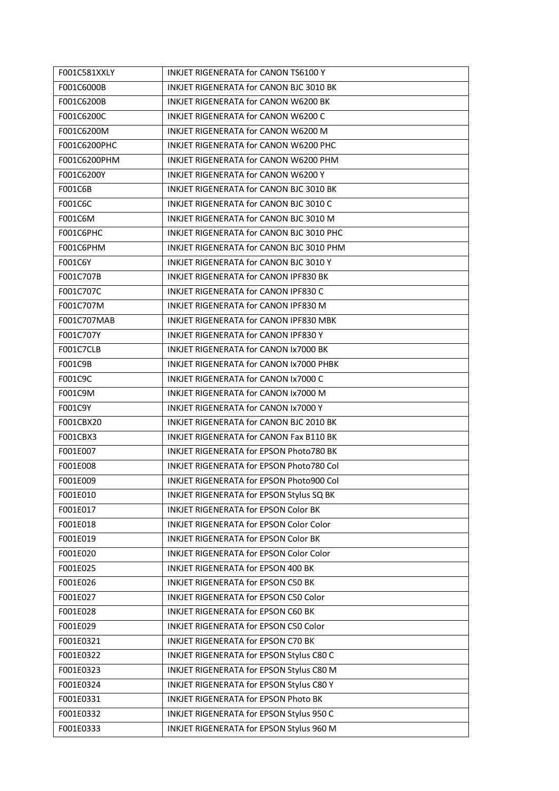| F001C581XXLY | INKJET RIGENERATA for CANON TS6100 Y           |
|--------------|------------------------------------------------|
| F001C6000B   | <b>INKJET RIGENERATA for CANON BJC 3010 BK</b> |
| F001C6200B   | <b>INKJET RIGENERATA for CANON W6200 BK</b>    |
| F001C6200C   | <b>INKJET RIGENERATA for CANON W6200 C</b>     |
| F001C6200M   | INKJET RIGENERATA for CANON W6200 M            |
| F001C6200PHC | INKJET RIGENERATA for CANON W6200 PHC          |
| F001C6200PHM | INKJET RIGENERATA for CANON W6200 PHM          |
| F001C6200Y   | INKJET RIGENERATA for CANON W6200 Y            |
| F001C6B      | INKJET RIGENERATA for CANON BJC 3010 BK        |
| F001C6C      | INKJET RIGENERATA for CANON BJC 3010 C         |
| F001C6M      | INKJET RIGENERATA for CANON BJC 3010 M         |
| F001C6PHC    | INKJET RIGENERATA for CANON BJC 3010 PHC       |
| F001C6PHM    | INKJET RIGENERATA for CANON BJC 3010 PHM       |
| F001C6Y      | INKJET RIGENERATA for CANON BJC 3010 Y         |
| F001C707B    | INKJET RIGENERATA for CANON IPF830 BK          |
| F001C707C    | INKJET RIGENERATA for CANON IPF830 C           |
| F001C707M    | <b>INKJET RIGENERATA for CANON IPF830 M</b>    |
| F001C707MAB  | INKJET RIGENERATA for CANON IPF830 MBK         |
| F001C707Y    | <b>INKJET RIGENERATA for CANON IPF830 Y</b>    |
| F001C7CLB    | INKJET RIGENERATA for CANON Ix7000 BK          |
| F001C9B      | <b>INKJET RIGENERATA for CANON Ix7000 PHBK</b> |
| F001C9C      | <b>INKJET RIGENERATA for CANON Ix7000 C</b>    |
| F001C9M      | <b>INKJET RIGENERATA for CANON Ix7000 M</b>    |
| F001C9Y      | <b>INKJET RIGENERATA for CANON Ix7000 Y</b>    |
| F001CBX20    | INKJET RIGENERATA for CANON BJC 2010 BK        |
| F001CBX3     | <b>INKJET RIGENERATA for CANON Fax B110 BK</b> |
| F001E007     | INKJET RIGENERATA for EPSON Photo780 BK        |
| F001E008     | INKJET RIGENERATA for EPSON Photo780 Col       |
| F001E009     | INKJET RIGENERATA for EPSON Photo900 Col       |
| F001E010     | INKJET RIGENERATA for EPSON Stylus SQ BK       |
| F001E017     | <b>INKJET RIGENERATA for EPSON Color BK</b>    |
| F001E018     | INKJET RIGENERATA for EPSON Color Color        |
| F001E019     | INKJET RIGENERATA for EPSON Color BK           |
| F001E020     | INKJET RIGENERATA for EPSON Color Color        |
| F001E025     | INKJET RIGENERATA for EPSON 400 BK             |
| F001E026     | INKJET RIGENERATA for EPSON C50 BK             |
| F001E027     | INKJET RIGENERATA for EPSON C50 Color          |
| F001E028     | INKJET RIGENERATA for EPSON C60 BK             |
| F001E029     | INKJET RIGENERATA for EPSON C50 Color          |
| F001E0321    | INKJET RIGENERATA for EPSON C70 BK             |
| F001E0322    | INKJET RIGENERATA for EPSON Stylus C80 C       |
| F001E0323    | INKJET RIGENERATA for EPSON Stylus C80 M       |
| F001E0324    | INKJET RIGENERATA for EPSON Stylus C80 Y       |
| F001E0331    | INKJET RIGENERATA for EPSON Photo BK           |
| F001E0332    | INKJET RIGENERATA for EPSON Stylus 950 C       |
| F001E0333    | INKJET RIGENERATA for EPSON Stylus 960 M       |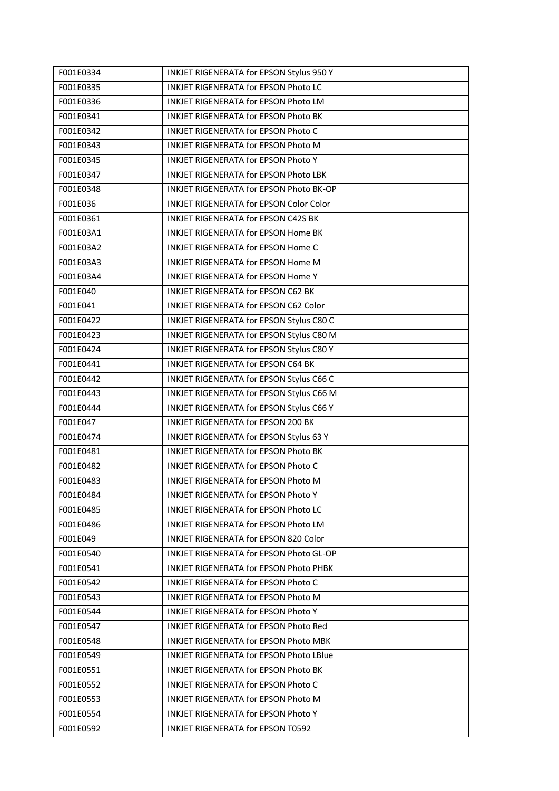| F001E0334 | INKJET RIGENERATA for EPSON Stylus 950 Y       |
|-----------|------------------------------------------------|
| F001E0335 | INKJET RIGENERATA for EPSON Photo LC           |
| F001E0336 | INKJET RIGENERATA for EPSON Photo LM           |
| F001E0341 | INKJET RIGENERATA for EPSON Photo BK           |
| F001E0342 | INKJET RIGENERATA for EPSON Photo C            |
| F001E0343 | INKJET RIGENERATA for EPSON Photo M            |
| F001E0345 | INKJET RIGENERATA for EPSON Photo Y            |
| F001E0347 | INKJET RIGENERATA for EPSON Photo LBK          |
| F001E0348 | INKJET RIGENERATA for EPSON Photo BK-OP        |
| F001E036  | INKJET RIGENERATA for EPSON Color Color        |
| F001E0361 | <b>INKJET RIGENERATA for EPSON C42S BK</b>     |
| F001E03A1 | INKJET RIGENERATA for EPSON Home BK            |
| F001E03A2 | INKJET RIGENERATA for EPSON Home C             |
| F001E03A3 | <b>INKJET RIGENERATA for EPSON Home M</b>      |
| F001E03A4 | INKJET RIGENERATA for EPSON Home Y             |
| F001E040  | <b>INKJET RIGENERATA for EPSON C62 BK</b>      |
| F001E041  | INKJET RIGENERATA for EPSON C62 Color          |
| F001E0422 | INKJET RIGENERATA for EPSON Stylus C80 C       |
| F001E0423 | INKJET RIGENERATA for EPSON Stylus C80 M       |
| F001E0424 | INKJET RIGENERATA for EPSON Stylus C80 Y       |
| F001E0441 | <b>INKJET RIGENERATA for EPSON C64 BK</b>      |
| F001E0442 | INKJET RIGENERATA for EPSON Stylus C66 C       |
| F001E0443 | INKJET RIGENERATA for EPSON Stylus C66 M       |
| F001E0444 | INKJET RIGENERATA for EPSON Stylus C66 Y       |
| F001E047  | INKJET RIGENERATA for EPSON 200 BK             |
| F001E0474 | INKJET RIGENERATA for EPSON Stylus 63 Y        |
| F001E0481 | INKJET RIGENERATA for EPSON Photo BK           |
| F001E0482 | <b>INKJET RIGENERATA for EPSON Photo C</b>     |
| F001E0483 | INKJET RIGENERATA for EPSON Photo M            |
| F001E0484 | INKJET RIGENERATA for EPSON Photo Y            |
| F001E0485 | INKJET RIGENERATA for EPSON Photo LC           |
| F001E0486 | INKJET RIGENERATA for EPSON Photo LM           |
| F001E049  | <b>INKJET RIGENERATA for EPSON 820 Color</b>   |
| F001E0540 | <b>INKJET RIGENERATA for EPSON Photo GL-OP</b> |
| F001E0541 | <b>INKJET RIGENERATA for EPSON Photo PHBK</b>  |
| F001E0542 | INKJET RIGENERATA for EPSON Photo C            |
| F001E0543 | <b>INKJET RIGENERATA for EPSON Photo M</b>     |
| F001E0544 | INKJET RIGENERATA for EPSON Photo Y            |
| F001E0547 | <b>INKJET RIGENERATA for EPSON Photo Red</b>   |
| F001E0548 | <b>INKJET RIGENERATA for EPSON Photo MBK</b>   |
| F001E0549 | INKJET RIGENERATA for EPSON Photo LBlue        |
| F001E0551 | INKJET RIGENERATA for EPSON Photo BK           |
| F001E0552 | INKJET RIGENERATA for EPSON Photo C            |
| F001E0553 | INKJET RIGENERATA for EPSON Photo M            |
| F001E0554 | <b>INKJET RIGENERATA for EPSON Photo Y</b>     |
| F001E0592 | INKJET RIGENERATA for EPSON T0592              |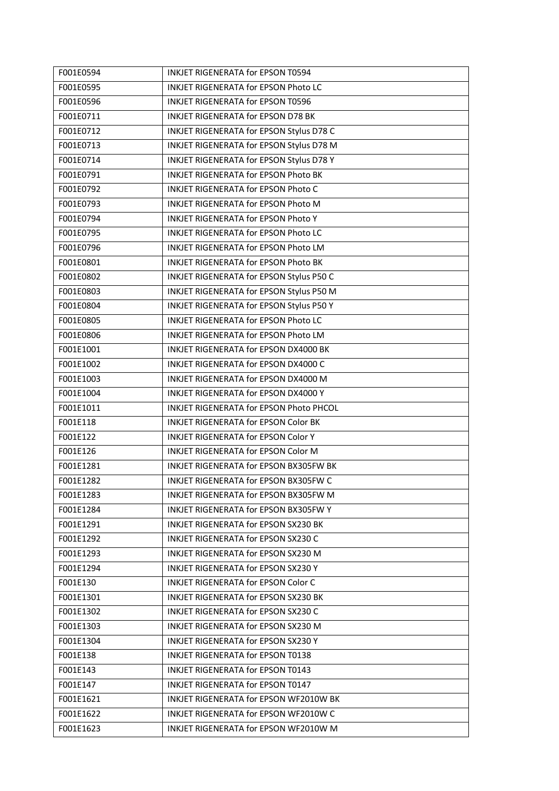| F001E0594 | INKJET RIGENERATA for EPSON T0594               |
|-----------|-------------------------------------------------|
| F001E0595 | INKJET RIGENERATA for EPSON Photo LC            |
| F001E0596 | <b>INKJET RIGENERATA for EPSON T0596</b>        |
| F001E0711 | INKJET RIGENERATA for EPSON D78 BK              |
| F001E0712 | INKJET RIGENERATA for EPSON Stylus D78 C        |
| F001E0713 | INKJET RIGENERATA for EPSON Stylus D78 M        |
| F001E0714 | <b>INKJET RIGENERATA for EPSON Stylus D78 Y</b> |
| F001E0791 | INKJET RIGENERATA for EPSON Photo BK            |
| F001E0792 | INKJET RIGENERATA for EPSON Photo C             |
| F001E0793 | INKJET RIGENERATA for EPSON Photo M             |
| F001E0794 | <b>INKJET RIGENERATA for EPSON Photo Y</b>      |
| F001E0795 | INKJET RIGENERATA for EPSON Photo LC            |
| F001E0796 | INKJET RIGENERATA for EPSON Photo LM            |
| F001E0801 | INKJET RIGENERATA for EPSON Photo BK            |
| F001E0802 | INKJET RIGENERATA for EPSON Stylus P50 C        |
| F001E0803 | INKJET RIGENERATA for EPSON Stylus P50 M        |
| F001E0804 | INKJET RIGENERATA for EPSON Stylus P50 Y        |
| F001E0805 | INKJET RIGENERATA for EPSON Photo LC            |
| F001E0806 | INKJET RIGENERATA for EPSON Photo LM            |
| F001E1001 | INKJET RIGENERATA for EPSON DX4000 BK           |
| F001E1002 | INKJET RIGENERATA for EPSON DX4000 C            |
| F001E1003 | INKJET RIGENERATA for EPSON DX4000 M            |
| F001E1004 | <b>INKJET RIGENERATA for EPSON DX4000 Y</b>     |
| F001E1011 | INKJET RIGENERATA for EPSON Photo PHCOL         |
| F001E118  | INKJET RIGENERATA for EPSON Color BK            |
| F001E122  | <b>INKJET RIGENERATA for EPSON Color Y</b>      |
| F001E126  | INKJET RIGENERATA for EPSON Color M             |
| F001E1281 | INKJET RIGENERATA for EPSON BX305FW BK          |
| F001E1282 | INKJET RIGENERATA for EPSON BX305FW C           |
| F001E1283 | INKJET RIGENERATA for EPSON BX305FW M           |
| F001E1284 | INKJET RIGENERATA for EPSON BX305FW Y           |
| F001E1291 | <b>INKJET RIGENERATA for EPSON SX230 BK</b>     |
| F001E1292 | INKJET RIGENERATA for EPSON SX230 C             |
| F001E1293 | <b>INKJET RIGENERATA for EPSON SX230 M</b>      |
| F001E1294 | <b>INKJET RIGENERATA for EPSON SX230 Y</b>      |
| F001E130  | INKJET RIGENERATA for EPSON Color C             |
| F001E1301 | INKJET RIGENERATA for EPSON SX230 BK            |
| F001E1302 | INKJET RIGENERATA for EPSON SX230 C             |
| F001E1303 | INKJET RIGENERATA for EPSON SX230 M             |
| F001E1304 | <b>INKJET RIGENERATA for EPSON SX230 Y</b>      |
| F001E138  | INKJET RIGENERATA for EPSON T0138               |
| F001E143  | <b>INKJET RIGENERATA for EPSON T0143</b>        |
| F001E147  | INKJET RIGENERATA for EPSON T0147               |
| F001E1621 | INKJET RIGENERATA for EPSON WF2010W BK          |
| F001E1622 | INKJET RIGENERATA for EPSON WF2010W C           |
| F001E1623 | INKJET RIGENERATA for EPSON WF2010W M           |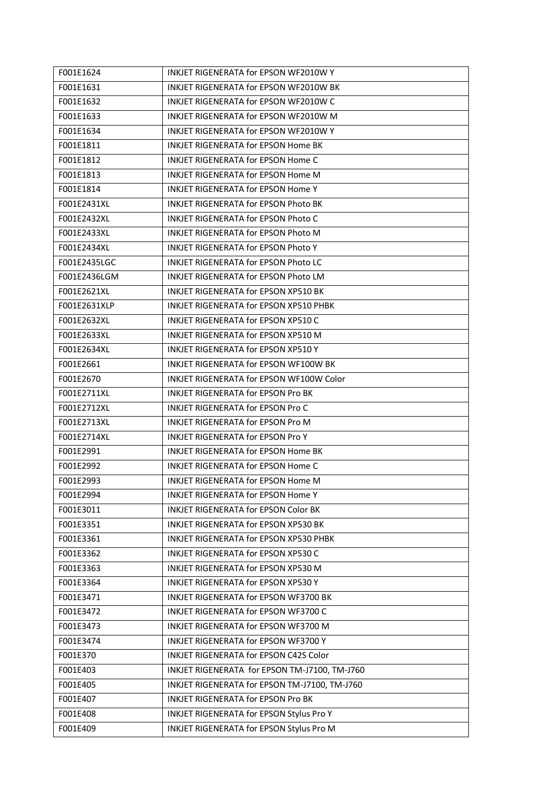| F001E1624    | <b>INKJET RIGENERATA for EPSON WF2010W Y</b>  |
|--------------|-----------------------------------------------|
| F001E1631    | <b>INKJET RIGENERATA for EPSON WF2010W BK</b> |
| F001E1632    | <b>INKJET RIGENERATA for EPSON WF2010W C</b>  |
| F001E1633    | INKJET RIGENERATA for EPSON WF2010W M         |
| F001E1634    | <b>INKJET RIGENERATA for EPSON WF2010W Y</b>  |
| F001E1811    | INKJET RIGENERATA for EPSON Home BK           |
| F001E1812    | <b>INKJET RIGENERATA for EPSON Home C</b>     |
| F001E1813    | INKJET RIGENERATA for EPSON Home M            |
| F001E1814    | INKJET RIGENERATA for EPSON Home Y            |
| F001E2431XL  | <b>INKJET RIGENERATA for EPSON Photo BK</b>   |
| F001E2432XL  | INKJET RIGENERATA for EPSON Photo C           |
| F001E2433XL  | <b>INKJET RIGENERATA for EPSON Photo M</b>    |
| F001E2434XL  | INKJET RIGENERATA for EPSON Photo Y           |
| F001E2435LGC | INKJET RIGENERATA for EPSON Photo LC          |
| F001E2436LGM | INKJET RIGENERATA for EPSON Photo LM          |
| F001E2621XL  | <b>INKJET RIGENERATA for EPSON XP510 BK</b>   |
| F001E2631XLP | <b>INKJET RIGENERATA for EPSON XP510 PHBK</b> |
| F001E2632XL  | INKJET RIGENERATA for EPSON XP510 C           |
| F001E2633XL  | INKJET RIGENERATA for EPSON XP510 M           |
| F001E2634XL  | <b>INKJET RIGENERATA for EPSON XP510 Y</b>    |
| F001E2661    | INKJET RIGENERATA for EPSON WF100W BK         |
| F001E2670    | INKJET RIGENERATA for EPSON WF100W Color      |
| F001E2711XL  | INKJET RIGENERATA for EPSON Pro BK            |
| F001E2712XL  | <b>INKJET RIGENERATA for EPSON Pro C</b>      |
| F001E2713XL  | INKJET RIGENERATA for EPSON Pro M             |
| F001E2714XL  | <b>INKJET RIGENERATA for EPSON Pro Y</b>      |
| F001E2991    | INKJET RIGENERATA for EPSON Home BK           |
| F001E2992    | INKJET RIGENERATA for EPSON Home C            |
| F001E2993    | INKJET RIGENERATA for EPSON Home M            |
| F001E2994    | INKJET RIGENERATA for EPSON Home Y            |
| F001E3011    | INKJET RIGENERATA for EPSON Color BK          |
| F001E3351    | INKJET RIGENERATA for EPSON XP530 BK          |
| F001E3361    | INKJET RIGENERATA for EPSON XP530 PHBK        |
| F001E3362    | INKJET RIGENERATA for EPSON XP530 C           |
| F001E3363    | <b>INKJET RIGENERATA for EPSON XP530 M</b>    |
| F001E3364    | INKJET RIGENERATA for EPSON XP530 Y           |
| F001E3471    | <b>INKJET RIGENERATA for EPSON WF3700 BK</b>  |
| F001E3472    | INKJET RIGENERATA for EPSON WF3700 C          |
| F001E3473    | INKJET RIGENERATA for EPSON WF3700 M          |
| F001E3474    | <b>INKJET RIGENERATA for EPSON WF3700 Y</b>   |
| F001E370     | INKJET RIGENERATA for EPSON C42S Color        |
| F001E403     | INKJET RIGENERATA for EPSON TM-J7100, TM-J760 |
| F001E405     | INKJET RIGENERATA for EPSON TM-J7100, TM-J760 |
| F001E407     | INKJET RIGENERATA for EPSON Pro BK            |
| F001E408     | INKJET RIGENERATA for EPSON Stylus Pro Y      |
| F001E409     | INKJET RIGENERATA for EPSON Stylus Pro M      |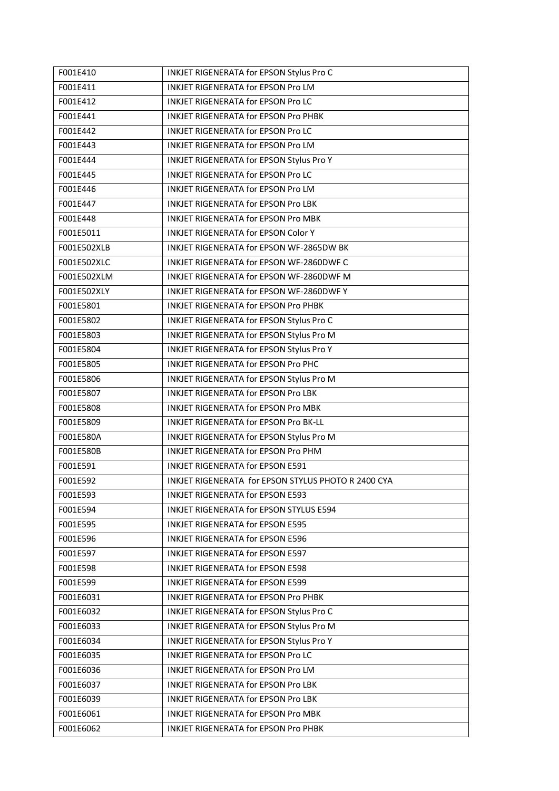| F001E410    | INKJET RIGENERATA for EPSON Stylus Pro C            |
|-------------|-----------------------------------------------------|
| F001E411    | INKJET RIGENERATA for EPSON Pro LM                  |
| F001E412    | INKJET RIGENERATA for EPSON Pro LC                  |
| F001E441    | INKJET RIGENERATA for EPSON Pro PHBK                |
| F001E442    | INKJET RIGENERATA for EPSON Pro LC                  |
| F001E443    | INKJET RIGENERATA for EPSON Pro LM                  |
| F001E444    | INKJET RIGENERATA for EPSON Stylus Pro Y            |
| F001E445    | <b>INKJET RIGENERATA for EPSON Pro LC</b>           |
| F001E446    | INKJET RIGENERATA for EPSON Pro LM                  |
| F001E447    | INKJET RIGENERATA for EPSON Pro LBK                 |
| F001E448    | <b>INKJET RIGENERATA for EPSON Pro MBK</b>          |
| F001E5011   | INKJET RIGENERATA for EPSON Color Y                 |
| F001E502XLB | INKJET RIGENERATA for EPSON WF-2865DW BK            |
| F001E502XLC | INKJET RIGENERATA for EPSON WF-2860DWF C            |
| F001E502XLM | INKJET RIGENERATA for EPSON WF-2860DWF M            |
| F001E502XLY | INKJET RIGENERATA for EPSON WF-2860DWF Y            |
| F001E5801   | <b>INKJET RIGENERATA for EPSON Pro PHBK</b>         |
| F001E5802   | INKJET RIGENERATA for EPSON Stylus Pro C            |
| F001E5803   | INKJET RIGENERATA for EPSON Stylus Pro M            |
| F001E5804   | INKJET RIGENERATA for EPSON Stylus Pro Y            |
| F001E5805   | <b>INKJET RIGENERATA for EPSON Pro PHC</b>          |
| F001E5806   | INKJET RIGENERATA for EPSON Stylus Pro M            |
| F001E5807   | INKJET RIGENERATA for EPSON Pro LBK                 |
| F001E5808   | INKJET RIGENERATA for EPSON Pro MBK                 |
| F001E5809   | INKJET RIGENERATA for EPSON Pro BK-LL               |
| F001E580A   | INKJET RIGENERATA for EPSON Stylus Pro M            |
| F001E580B   | INKJET RIGENERATA for EPSON Pro PHM                 |
| F001E591    | <b>INKJET RIGENERATA for EPSON E591</b>             |
| F001E592    | INKJET RIGENERATA for EPSON STYLUS PHOTO R 2400 CYA |
| F001E593    | INKJET RIGENERATA for EPSON E593                    |
| F001E594    | INKJET RIGENERATA for EPSON STYLUS E594             |
| F001E595    | <b>INKJET RIGENERATA for EPSON E595</b>             |
| F001E596    | <b>INKJET RIGENERATA for EPSON E596</b>             |
| F001E597    | INKJET RIGENERATA for EPSON E597                    |
| F001E598    | <b>INKJET RIGENERATA for EPSON E598</b>             |
| F001E599    | INKJET RIGENERATA for EPSON E599                    |
| F001E6031   | INKJET RIGENERATA for EPSON Pro PHBK                |
| F001E6032   | INKJET RIGENERATA for EPSON Stylus Pro C            |
| F001E6033   | INKJET RIGENERATA for EPSON Stylus Pro M            |
| F001E6034   | INKJET RIGENERATA for EPSON Stylus Pro Y            |
| F001E6035   | INKJET RIGENERATA for EPSON Pro LC                  |
| F001E6036   | INKJET RIGENERATA for EPSON Pro LM                  |
| F001E6037   | INKJET RIGENERATA for EPSON Pro LBK                 |
| F001E6039   | INKJET RIGENERATA for EPSON Pro LBK                 |
| F001E6061   | INKJET RIGENERATA for EPSON Pro MBK                 |
| F001E6062   | INKJET RIGENERATA for EPSON Pro PHBK                |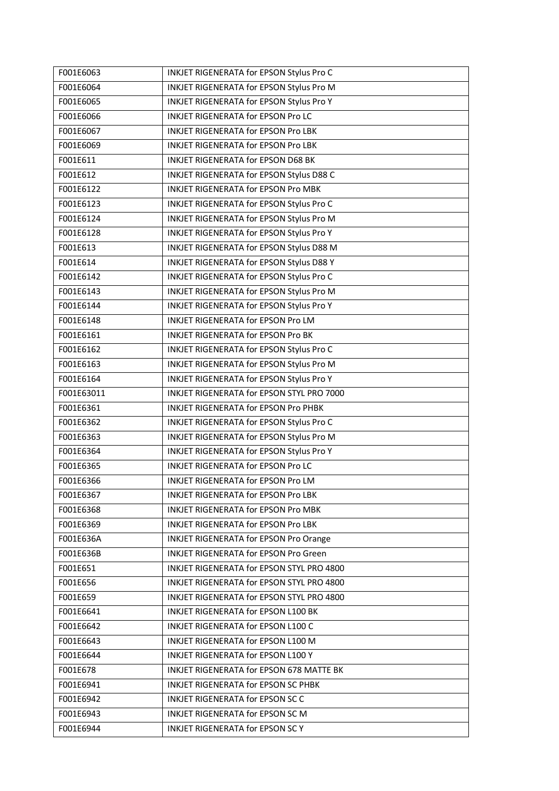| F001E6063  | INKJET RIGENERATA for EPSON Stylus Pro C        |
|------------|-------------------------------------------------|
| F001E6064  | INKJET RIGENERATA for EPSON Stylus Pro M        |
| F001E6065  | INKJET RIGENERATA for EPSON Stylus Pro Y        |
| F001E6066  | INKJET RIGENERATA for EPSON Pro LC              |
| F001E6067  | INKJET RIGENERATA for EPSON Pro LBK             |
| F001E6069  | INKJET RIGENERATA for EPSON Pro LBK             |
| F001E611   | INKJET RIGENERATA for EPSON D68 BK              |
| F001E612   | INKJET RIGENERATA for EPSON Stylus D88 C        |
| F001E6122  | INKJET RIGENERATA for EPSON Pro MBK             |
| F001E6123  | INKJET RIGENERATA for EPSON Stylus Pro C        |
| F001E6124  | INKJET RIGENERATA for EPSON Stylus Pro M        |
| F001E6128  | INKJET RIGENERATA for EPSON Stylus Pro Y        |
| F001E613   | INKJET RIGENERATA for EPSON Stylus D88 M        |
| F001E614   | <b>INKJET RIGENERATA for EPSON Stylus D88 Y</b> |
| F001E6142  | INKJET RIGENERATA for EPSON Stylus Pro C        |
| F001E6143  | INKJET RIGENERATA for EPSON Stylus Pro M        |
| F001E6144  | INKJET RIGENERATA for EPSON Stylus Pro Y        |
| F001E6148  | INKJET RIGENERATA for EPSON Pro LM              |
| F001E6161  | INKJET RIGENERATA for EPSON Pro BK              |
| F001E6162  | INKJET RIGENERATA for EPSON Stylus Pro C        |
| F001E6163  | INKJET RIGENERATA for EPSON Stylus Pro M        |
| F001E6164  | INKJET RIGENERATA for EPSON Stylus Pro Y        |
| F001E63011 | INKJET RIGENERATA for EPSON STYL PRO 7000       |
| F001E6361  | INKJET RIGENERATA for EPSON Pro PHBK            |
| F001E6362  | INKJET RIGENERATA for EPSON Stylus Pro C        |
| F001E6363  | INKJET RIGENERATA for EPSON Stylus Pro M        |
| F001E6364  | INKJET RIGENERATA for EPSON Stylus Pro Y        |
| F001E6365  | <b>INKJET RIGENERATA for EPSON Pro LC</b>       |
| F001E6366  | INKJET RIGENERATA for EPSON Pro LM              |
| F001E6367  | <b>INKJET RIGENERATA for EPSON Pro LBK</b>      |
| F001E6368  | INKJET RIGENERATA for EPSON Pro MBK             |
| F001E6369  | <b>INKJET RIGENERATA for EPSON Pro LBK</b>      |
| F001E636A  | INKJET RIGENERATA for EPSON Pro Orange          |
| F001E636B  | <b>INKJET RIGENERATA for EPSON Pro Green</b>    |
| F001E651   | INKJET RIGENERATA for EPSON STYL PRO 4800       |
| F001E656   | INKJET RIGENERATA for EPSON STYL PRO 4800       |
| F001E659   | INKJET RIGENERATA for EPSON STYL PRO 4800       |
| F001E6641  | INKJET RIGENERATA for EPSON L100 BK             |
| F001E6642  | INKJET RIGENERATA for EPSON L100 C              |
| F001E6643  | INKJET RIGENERATA for EPSON L100 M              |
| F001E6644  | INKJET RIGENERATA for EPSON L100 Y              |
| F001E678   | <b>INKJET RIGENERATA for EPSON 678 MATTE BK</b> |
| F001E6941  | INKJET RIGENERATA for EPSON SC PHBK             |
| F001E6942  | INKJET RIGENERATA for EPSON SC C                |
| F001E6943  | INKJET RIGENERATA for EPSON SC M                |
| F001E6944  | <b>INKJET RIGENERATA for EPSON SC Y</b>         |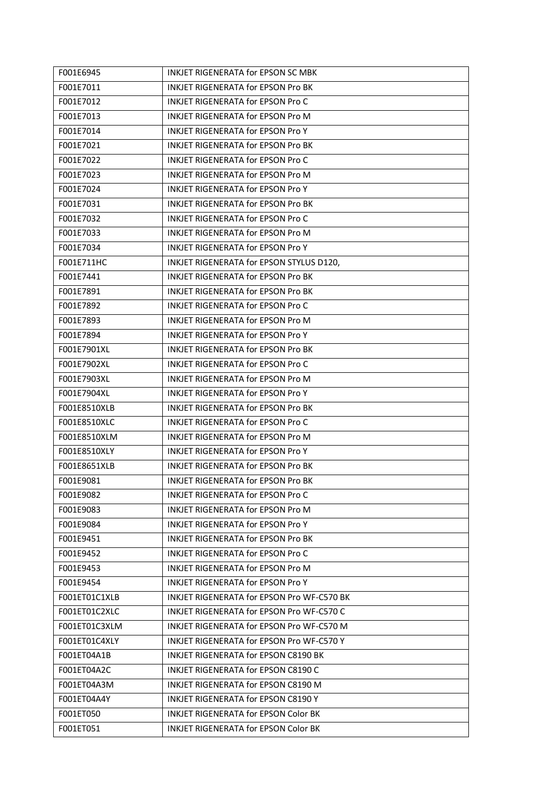| F001E6945     | <b>INKJET RIGENERATA for EPSON SC MBK</b>        |
|---------------|--------------------------------------------------|
| F001E7011     | <b>INKJET RIGENERATA for EPSON Pro BK</b>        |
| F001E7012     | <b>INKJET RIGENERATA for EPSON Pro C</b>         |
| F001E7013     | INKJET RIGENERATA for EPSON Pro M                |
| F001E7014     | <b>INKJET RIGENERATA for EPSON Pro Y</b>         |
| F001E7021     | <b>INKJET RIGENERATA for EPSON Pro BK</b>        |
| F001E7022     | <b>INKJET RIGENERATA for EPSON Pro C</b>         |
| F001E7023     | <b>INKJET RIGENERATA for EPSON Pro M</b>         |
| F001E7024     | INKJET RIGENERATA for EPSON Pro Y                |
| F001E7031     | <b>INKJET RIGENERATA for EPSON Pro BK</b>        |
| F001E7032     | INKJET RIGENERATA for EPSON Pro C                |
| F001E7033     | <b>INKJET RIGENERATA for EPSON Pro M</b>         |
| F001E7034     | INKJET RIGENERATA for EPSON Pro Y                |
| F001E711HC    | INKJET RIGENERATA for EPSON STYLUS D120,         |
| F001E7441     | INKJET RIGENERATA for EPSON Pro BK               |
| F001E7891     | <b>INKJET RIGENERATA for EPSON Pro BK</b>        |
| F001E7892     | <b>INKJET RIGENERATA for EPSON Pro C</b>         |
| F001E7893     | INKJET RIGENERATA for EPSON Pro M                |
| F001E7894     | <b>INKJET RIGENERATA for EPSON Pro Y</b>         |
| F001E7901XL   | <b>INKJET RIGENERATA for EPSON Pro BK</b>        |
| F001E7902XL   | <b>INKJET RIGENERATA for EPSON Pro C</b>         |
| F001E7903XL   | INKJET RIGENERATA for EPSON Pro M                |
| F001E7904XL   | INKJET RIGENERATA for EPSON Pro Y                |
| F001E8510XLB  | INKJET RIGENERATA for EPSON Pro BK               |
| F001E8510XLC  | INKJET RIGENERATA for EPSON Pro C                |
| F001E8510XLM  | <b>INKJET RIGENERATA for EPSON Pro M</b>         |
| F001E8510XLY  | INKJET RIGENERATA for EPSON Pro Y                |
| F001E8651XLB  | <b>INKJET RIGENERATA for EPSON Pro BK</b>        |
| F001E9081     | <b>INKJET RIGENERATA for EPSON Pro BK</b>        |
| F001E9082     | <b>INKJET RIGENERATA for EPSON Pro C</b>         |
| F001E9083     | INKJET RIGENERATA for EPSON Pro M                |
| F001E9084     | <b>INKJET RIGENERATA for EPSON Pro Y</b>         |
| F001E9451     | INKJET RIGENERATA for EPSON Pro BK               |
| F001E9452     | <b>INKJET RIGENERATA for EPSON Pro C</b>         |
| F001E9453     | INKJET RIGENERATA for EPSON Pro M                |
| F001E9454     | <b>INKJET RIGENERATA for EPSON Pro Y</b>         |
| FOO1ETO1C1XLB | INKJET RIGENERATA for EPSON Pro WF-C570 BK       |
| F001ET01C2XLC | INKJET RIGENERATA for EPSON Pro WF-C570 C        |
| F001ET01C3XLM | <b>INKJET RIGENERATA for EPSON Pro WF-C570 M</b> |
| F001ET01C4XLY | INKJET RIGENERATA for EPSON Pro WF-C570 Y        |
| F001ET04A1B   | INKJET RIGENERATA for EPSON C8190 BK             |
| F001ET04A2C   | INKJET RIGENERATA for EPSON C8190 C              |
| F001ET04A3M   | INKJET RIGENERATA for EPSON C8190 M              |
| F001ET04A4Y   | INKJET RIGENERATA for EPSON C8190 Y              |
| F001ET050     | INKJET RIGENERATA for EPSON Color BK             |
| F001ET051     | <b>INKJET RIGENERATA for EPSON Color BK</b>      |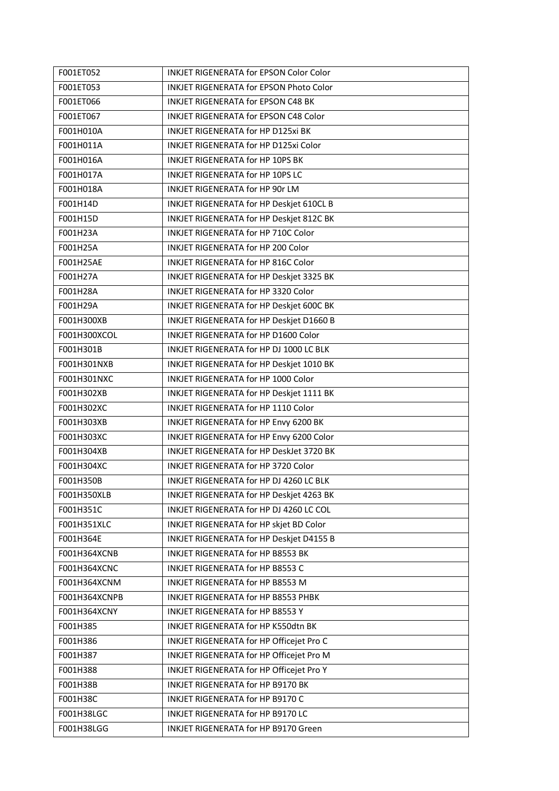| F001ET052     | INKJET RIGENERATA for EPSON Color Color  |
|---------------|------------------------------------------|
| F001ET053     | INKJET RIGENERATA for EPSON Photo Color  |
| F001ET066     | INKJET RIGENERATA for EPSON C48 BK       |
| F001ET067     | INKJET RIGENERATA for EPSON C48 Color    |
| F001H010A     | INKJET RIGENERATA for HP D125xi BK       |
| F001H011A     | INKJET RIGENERATA for HP D125xi Color    |
| F001H016A     | INKJET RIGENERATA for HP 10PS BK         |
| F001H017A     | INKJET RIGENERATA for HP 10PS LC         |
| F001H018A     | INKJET RIGENERATA for HP 90r LM          |
| F001H14D      | INKJET RIGENERATA for HP Deskjet 610CL B |
| F001H15D      | INKJET RIGENERATA for HP Deskjet 812C BK |
| F001H23A      | INKJET RIGENERATA for HP 710C Color      |
| F001H25A      | INKJET RIGENERATA for HP 200 Color       |
| F001H25AE     | INKJET RIGENERATA for HP 816C Color      |
| F001H27A      | INKJET RIGENERATA for HP Deskjet 3325 BK |
| F001H28A      | INKJET RIGENERATA for HP 3320 Color      |
| F001H29A      | INKJET RIGENERATA for HP Deskjet 600C BK |
| F001H300XB    | INKJET RIGENERATA for HP Deskjet D1660 B |
| F001H300XCOL  | INKJET RIGENERATA for HP D1600 Color     |
| F001H301B     | INKJET RIGENERATA for HP DJ 1000 LC BLK  |
| F001H301NXB   | INKJET RIGENERATA for HP Deskjet 1010 BK |
| F001H301NXC   | INKJET RIGENERATA for HP 1000 Color      |
| F001H302XB    | INKJET RIGENERATA for HP Deskjet 1111 BK |
| F001H302XC    | INKJET RIGENERATA for HP 1110 Color      |
| F001H303XB    | INKJET RIGENERATA for HP Envy 6200 BK    |
| F001H303XC    | INKJET RIGENERATA for HP Envy 6200 Color |
| F001H304XB    | INKJET RIGENERATA for HP DeskJet 3720 BK |
| F001H304XC    | INKJET RIGENERATA for HP 3720 Color      |
| F001H350B     | INKJET RIGENERATA for HP DJ 4260 LC BLK  |
| F001H350XLB   | INKJET RIGENERATA for HP Deskjet 4263 BK |
| F001H351C     | INKJET RIGENERATA for HP DJ 4260 LC COL  |
| F001H351XLC   | INKJET RIGENERATA for HP skjet BD Color  |
| F001H364E     | INKJET RIGENERATA for HP Deskjet D4155 B |
| F001H364XCNB  | INKJET RIGENERATA for HP B8553 BK        |
| F001H364XCNC  | <b>INKJET RIGENERATA for HP B8553 C</b>  |
| F001H364XCNM  | INKJET RIGENERATA for HP B8553 M         |
| F001H364XCNPB | INKJET RIGENERATA for HP B8553 PHBK      |
| F001H364XCNY  | INKJET RIGENERATA for HP B8553 Y         |
| F001H385      | INKJET RIGENERATA for HP K550dtn BK      |
| F001H386      | INKJET RIGENERATA for HP Officejet Pro C |
| F001H387      | INKJET RIGENERATA for HP Officejet Pro M |
| F001H388      | INKJET RIGENERATA for HP Officejet Pro Y |
| F001H38B      | INKJET RIGENERATA for HP B9170 BK        |
| F001H38C      | INKJET RIGENERATA for HP B9170 C         |
| F001H38LGC    | INKJET RIGENERATA for HP B9170 LC        |
| F001H38LGG    | INKJET RIGENERATA for HP B9170 Green     |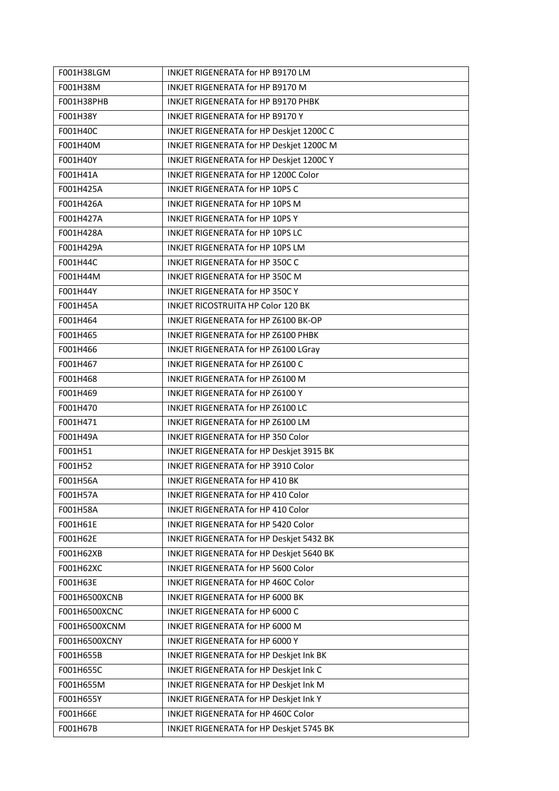| F001H38LGM    | INKJET RIGENERATA for HP B9170 LM          |
|---------------|--------------------------------------------|
| F001H38M      | INKJET RIGENERATA for HP B9170 M           |
| F001H38PHB    | <b>INKJET RIGENERATA for HP B9170 PHBK</b> |
| F001H38Y      | INKJET RIGENERATA for HP B9170 Y           |
| F001H40C      | INKJET RIGENERATA for HP Deskjet 1200C C   |
| F001H40M      | INKJET RIGENERATA for HP Deskjet 1200C M   |
| F001H40Y      | INKJET RIGENERATA for HP Deskjet 1200C Y   |
| F001H41A      | INKJET RIGENERATA for HP 1200C Color       |
| F001H425A     | INKJET RIGENERATA for HP 10PS C            |
| F001H426A     | INKJET RIGENERATA for HP 10PS M            |
| F001H427A     | INKJET RIGENERATA for HP 10PS Y            |
| F001H428A     | INKJET RIGENERATA for HP 10PS LC           |
| F001H429A     | <b>INKJET RIGENERATA for HP 10PS LM</b>    |
| F001H44C      | INKJET RIGENERATA for HP 350C C            |
| F001H44M      | INKJET RIGENERATA for HP 350C M            |
| F001H44Y      | INKJET RIGENERATA for HP 350C Y            |
| F001H45A      | INKJET RICOSTRUITA HP Color 120 BK         |
| F001H464      | INKJET RIGENERATA for HP Z6100 BK-OP       |
| F001H465      | INKJET RIGENERATA for HP Z6100 PHBK        |
| F001H466      | INKJET RIGENERATA for HP Z6100 LGray       |
| F001H467      | INKJET RIGENERATA for HP Z6100 C           |
| F001H468      | INKJET RIGENERATA for HP Z6100 M           |
| F001H469      | INKJET RIGENERATA for HP Z6100 Y           |
| F001H470      | INKJET RIGENERATA for HP Z6100 LC          |
| F001H471      | INKJET RIGENERATA for HP Z6100 LM          |
| F001H49A      | <b>INKJET RIGENERATA for HP 350 Color</b>  |
| F001H51       | INKJET RIGENERATA for HP Deskjet 3915 BK   |
| F001H52       | INKJET RIGENERATA for HP 3910 Color        |
| F001H56A      | INKJET RIGENERATA for HP 410 BK            |
| F001H57A      | INKJET RIGENERATA for HP 410 Color         |
| F001H58A      | INKJET RIGENERATA for HP 410 Color         |
| F001H61E      | INKJET RIGENERATA for HP 5420 Color        |
| F001H62E      | INKJET RIGENERATA for HP Deskjet 5432 BK   |
| F001H62XB     | INKJET RIGENERATA for HP Deskjet 5640 BK   |
| F001H62XC     | INKJET RIGENERATA for HP 5600 Color        |
| F001H63E      | INKJET RIGENERATA for HP 460C Color        |
| F001H6500XCNB | INKJET RIGENERATA for HP 6000 BK           |
| F001H6500XCNC | INKJET RIGENERATA for HP 6000 C            |
| F001H6500XCNM | INKJET RIGENERATA for HP 6000 M            |
| F001H6500XCNY | INKJET RIGENERATA for HP 6000 Y            |
| F001H655B     | INKJET RIGENERATA for HP Deskjet Ink BK    |
| F001H655C     | INKJET RIGENERATA for HP Deskjet Ink C     |
| F001H655M     | INKJET RIGENERATA for HP Deskjet Ink M     |
| F001H655Y     | INKJET RIGENERATA for HP Deskjet Ink Y     |
| F001H66E      | INKJET RIGENERATA for HP 460C Color        |
| F001H67B      | INKJET RIGENERATA for HP Deskjet 5745 BK   |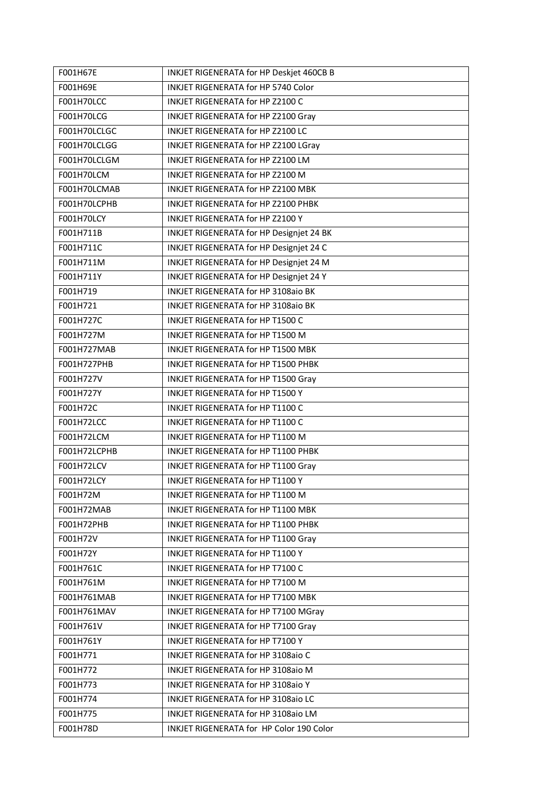| F001H67E     | INKJET RIGENERATA for HP Deskjet 460CB B  |
|--------------|-------------------------------------------|
| F001H69E     | INKJET RIGENERATA for HP 5740 Color       |
| F001H70LCC   | INKJET RIGENERATA for HP Z2100 C          |
| F001H70LCG   | INKJET RIGENERATA for HP Z2100 Gray       |
| F001H70LCLGC | INKJET RIGENERATA for HP Z2100 LC         |
| F001H70LCLGG | INKJET RIGENERATA for HP Z2100 LGray      |
| F001H70LCLGM | INKJET RIGENERATA for HP Z2100 LM         |
| F001H70LCM   | INKJET RIGENERATA for HP Z2100 M          |
| F001H70LCMAB | INKJET RIGENERATA for HP Z2100 MBK        |
| F001H70LCPHB | INKJET RIGENERATA for HP Z2100 PHBK       |
| F001H70LCY   | <b>INKJET RIGENERATA for HP Z2100 Y</b>   |
| F001H711B    | INKJET RIGENERATA for HP Designjet 24 BK  |
| F001H711C    | INKJET RIGENERATA for HP Designjet 24 C   |
| F001H711M    | INKJET RIGENERATA for HP Designjet 24 M   |
| F001H711Y    | INKJET RIGENERATA for HP Designjet 24 Y   |
| F001H719     | INKJET RIGENERATA for HP 3108aio BK       |
| F001H721     | INKJET RIGENERATA for HP 3108aio BK       |
| F001H727C    | INKJET RIGENERATA for HP T1500 C          |
| F001H727M    | INKJET RIGENERATA for HP T1500 M          |
| F001H727MAB  | INKJET RIGENERATA for HP T1500 MBK        |
| F001H727PHB  | INKJET RIGENERATA for HP T1500 PHBK       |
| F001H727V    | INKJET RIGENERATA for HP T1500 Gray       |
| F001H727Y    | INKJET RIGENERATA for HP T1500 Y          |
| F001H72C     | INKJET RIGENERATA for HP T1100 C          |
| F001H72LCC   | INKJET RIGENERATA for HP T1100 C          |
| F001H72LCM   | INKJET RIGENERATA for HP T1100 M          |
| F001H72LCPHB | INKJET RIGENERATA for HP T1100 PHBK       |
| F001H72LCV   | INKJET RIGENERATA for HP T1100 Gray       |
| F001H72LCY   | INKJET RIGENERATA for HP T1100 Y          |
| F001H72M     | INKJET RIGENERATA for HP T1100 M          |
| F001H72MAB   | INKJET RIGENERATA for HP T1100 MBK        |
| F001H72PHB   | INKJET RIGENERATA for HP T1100 PHBK       |
| F001H72V     | INKJET RIGENERATA for HP T1100 Gray       |
| F001H72Y     | <b>INKJET RIGENERATA for HP T1100 Y</b>   |
| F001H761C    | <b>INKJET RIGENERATA for HP T7100 C</b>   |
| F001H761M    | INKJET RIGENERATA for HP T7100 M          |
| F001H761MAB  | INKJET RIGENERATA for HP T7100 MBK        |
| F001H761MAV  | INKJET RIGENERATA for HP T7100 MGray      |
| F001H761V    | INKJET RIGENERATA for HP T7100 Gray       |
| F001H761Y    | INKJET RIGENERATA for HP T7100 Y          |
| F001H771     | INKJET RIGENERATA for HP 3108aio C        |
| F001H772     | <b>INKJET RIGENERATA for HP 3108aio M</b> |
| F001H773     | INKJET RIGENERATA for HP 3108aio Y        |
| F001H774     | INKJET RIGENERATA for HP 3108aio LC       |
| F001H775     | INKJET RIGENERATA for HP 3108aio LM       |
| F001H78D     | INKJET RIGENERATA for HP Color 190 Color  |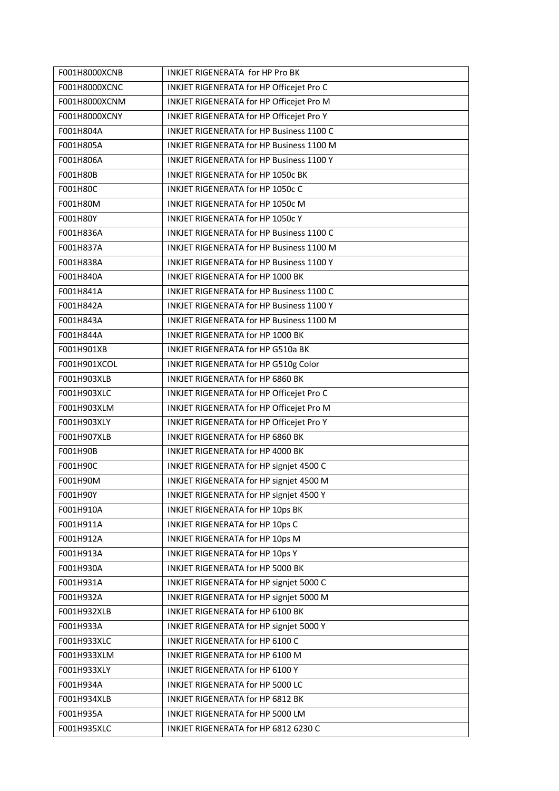| F001H8000XCNB | INKJET RIGENERATA for HP Pro BK                 |
|---------------|-------------------------------------------------|
| F001H8000XCNC | INKJET RIGENERATA for HP Officejet Pro C        |
| F001H8000XCNM | INKJET RIGENERATA for HP Officejet Pro M        |
| F001H8000XCNY | INKJET RIGENERATA for HP Officejet Pro Y        |
| F001H804A     | <b>INKJET RIGENERATA for HP Business 1100 C</b> |
| F001H805A     | INKJET RIGENERATA for HP Business 1100 M        |
| F001H806A     | <b>INKJET RIGENERATA for HP Business 1100 Y</b> |
| F001H80B      | <b>INKJET RIGENERATA for HP 1050c BK</b>        |
| F001H80C      | INKJET RIGENERATA for HP 1050c C                |
| F001H80M      | INKJET RIGENERATA for HP 1050c M                |
| F001H80Y      | <b>INKJET RIGENERATA for HP 1050c Y</b>         |
| F001H836A     | INKJET RIGENERATA for HP Business 1100 C        |
| F001H837A     | <b>INKJET RIGENERATA for HP Business 1100 M</b> |
| F001H838A     | <b>INKJET RIGENERATA for HP Business 1100 Y</b> |
| F001H840A     | INKJET RIGENERATA for HP 1000 BK                |
| F001H841A     | INKJET RIGENERATA for HP Business 1100 C        |
| F001H842A     | <b>INKJET RIGENERATA for HP Business 1100 Y</b> |
| F001H843A     | <b>INKJET RIGENERATA for HP Business 1100 M</b> |
| F001H844A     | INKJET RIGENERATA for HP 1000 BK                |
| F001H901XB    | <b>INKJET RIGENERATA for HP G510a BK</b>        |
| F001H901XCOL  | INKJET RIGENERATA for HP G510g Color            |
| F001H903XLB   | INKJET RIGENERATA for HP 6860 BK                |
| F001H903XLC   | INKJET RIGENERATA for HP Officejet Pro C        |
| F001H903XLM   | INKJET RIGENERATA for HP Officejet Pro M        |
| F001H903XLY   | INKJET RIGENERATA for HP Officejet Pro Y        |
| F001H907XLB   | <b>INKJET RIGENERATA for HP 6860 BK</b>         |
| F001H90B      | INKJET RIGENERATA for HP 4000 BK                |
| F001H90C      | INKJET RIGENERATA for HP signjet 4500 C         |
| F001H90M      | INKJET RIGENERATA for HP signjet 4500 M         |
| F001H90Y      | INKJET RIGENERATA for HP signjet 4500 Y         |
| F001H910A     | INKJET RIGENERATA for HP 10ps BK                |
| F001H911A     | INKJET RIGENERATA for HP 10ps C                 |
| F001H912A     | INKJET RIGENERATA for HP 10ps M                 |
| F001H913A     | INKJET RIGENERATA for HP 10ps Y                 |
| F001H930A     | INKJET RIGENERATA for HP 5000 BK                |
| F001H931A     | INKJET RIGENERATA for HP signjet 5000 C         |
| F001H932A     | INKJET RIGENERATA for HP signjet 5000 M         |
| F001H932XLB   | INKJET RIGENERATA for HP 6100 BK                |
| F001H933A     | INKJET RIGENERATA for HP signjet 5000 Y         |
| F001H933XLC   | INKJET RIGENERATA for HP 6100 C                 |
| F001H933XLM   | INKJET RIGENERATA for HP 6100 M                 |
| F001H933XLY   | INKJET RIGENERATA for HP 6100 Y                 |
| F001H934A     | INKJET RIGENERATA for HP 5000 LC                |
| F001H934XLB   | INKJET RIGENERATA for HP 6812 BK                |
| F001H935A     | INKJET RIGENERATA for HP 5000 LM                |
| F001H935XLC   | INKJET RIGENERATA for HP 6812 6230 C            |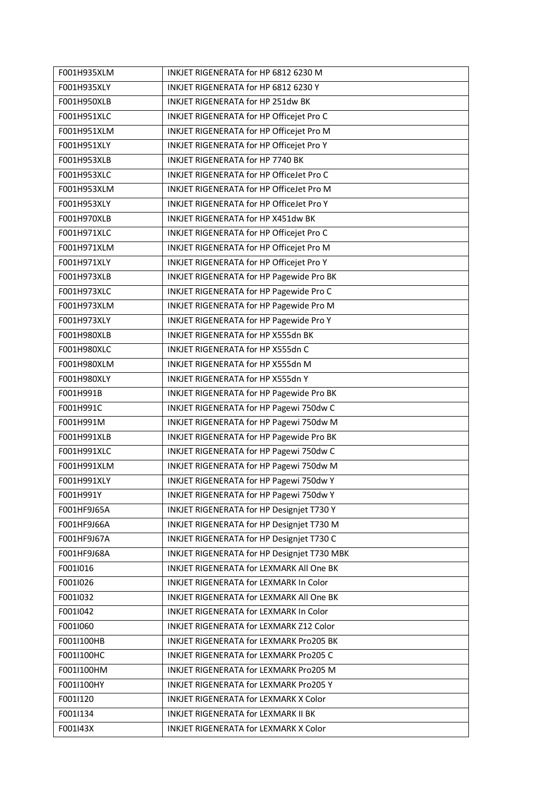| F001H935XLM | INKJET RIGENERATA for HP 6812 6230 M        |
|-------------|---------------------------------------------|
| F001H935XLY | INKJET RIGENERATA for HP 6812 6230 Y        |
| F001H950XLB | <b>INKJET RIGENERATA for HP 251dw BK</b>    |
| F001H951XLC | INKJET RIGENERATA for HP Officejet Pro C    |
| F001H951XLM | INKJET RIGENERATA for HP Officejet Pro M    |
| F001H951XLY | INKJET RIGENERATA for HP Officejet Pro Y    |
| F001H953XLB | INKJET RIGENERATA for HP 7740 BK            |
| F001H953XLC | INKJET RIGENERATA for HP OfficeJet Pro C    |
| F001H953XLM | INKJET RIGENERATA for HP OfficeJet Pro M    |
| F001H953XLY | INKJET RIGENERATA for HP OfficeJet Pro Y    |
| F001H970XLB | INKJET RIGENERATA for HP X451dw BK          |
| F001H971XLC | INKJET RIGENERATA for HP Officejet Pro C    |
| F001H971XLM | INKJET RIGENERATA for HP Officejet Pro M    |
| F001H971XLY | INKJET RIGENERATA for HP Officejet Pro Y    |
| F001H973XLB | INKJET RIGENERATA for HP Pagewide Pro BK    |
| F001H973XLC | INKJET RIGENERATA for HP Pagewide Pro C     |
| F001H973XLM | INKJET RIGENERATA for HP Pagewide Pro M     |
| F001H973XLY | INKJET RIGENERATA for HP Pagewide Pro Y     |
| F001H980XLB | INKJET RIGENERATA for HP X555dn BK          |
| F001H980XLC | INKJET RIGENERATA for HP X555dn C           |
| F001H980XLM | INKJET RIGENERATA for HP X555dn M           |
| F001H980XLY | INKJET RIGENERATA for HP X555dn Y           |
| F001H991B   | INKJET RIGENERATA for HP Pagewide Pro BK    |
| F001H991C   | INKJET RIGENERATA for HP Pagewi 750dw C     |
| F001H991M   | INKJET RIGENERATA for HP Pagewi 750dw M     |
| F001H991XLB | INKJET RIGENERATA for HP Pagewide Pro BK    |
| F001H991XLC | INKJET RIGENERATA for HP Pagewi 750dw C     |
| F001H991XLM | INKJET RIGENERATA for HP Pagewi 750dw M     |
| F001H991XLY | INKJET RIGENERATA for HP Pagewi 750dw Y     |
| F001H991Y   | INKJET RIGENERATA for HP Pagewi 750dw Y     |
| F001HF9J65A | INKJET RIGENERATA for HP Designjet T730 Y   |
| F001HF9J66A | INKJET RIGENERATA for HP Designjet T730 M   |
| F001HF9J67A | INKJET RIGENERATA for HP Designjet T730 C   |
| F001HF9J68A | INKJET RIGENERATA for HP Designjet T730 MBK |
| F001I016    | INKJET RIGENERATA for LEXMARK All One BK    |
| F001I026    | INKJET RIGENERATA for LEXMARK In Color      |
| F001I032    | INKJET RIGENERATA for LEXMARK All One BK    |
| F001I042    | INKJET RIGENERATA for LEXMARK In Color      |
| F001I060    | INKJET RIGENERATA for LEXMARK Z12 Color     |
| F001I100HB  | INKJET RIGENERATA for LEXMARK Pro205 BK     |
| F001I100HC  | INKJET RIGENERATA for LEXMARK Pro205 C      |
| F001I100HM  | INKJET RIGENERATA for LEXMARK Pro205 M      |
| F001I100HY  | INKJET RIGENERATA for LEXMARK Pro205 Y      |
| F001I120    | INKJET RIGENERATA for LEXMARK X Color       |
| F001I134    | INKJET RIGENERATA for LEXMARK II BK         |
| F001I43X    | INKJET RIGENERATA for LEXMARK X Color       |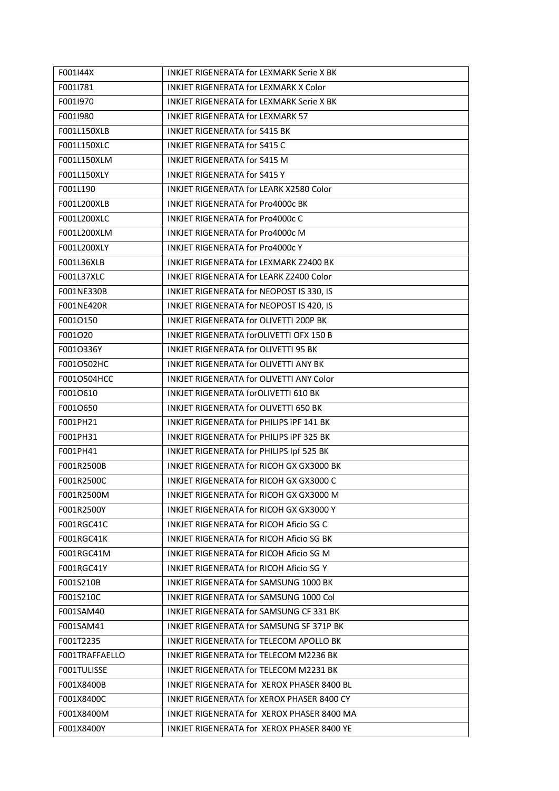| F001I44X       | <b>INKJET RIGENERATA for LEXMARK Serie X BK</b> |
|----------------|-------------------------------------------------|
| F0011781       | INKJET RIGENERATA for LEXMARK X Color           |
| F0011970       | <b>INKJET RIGENERATA for LEXMARK Serie X BK</b> |
| F0011980       | <b>INKJET RIGENERATA for LEXMARK 57</b>         |
| F001L150XLB    | <b>INKJET RIGENERATA for S415 BK</b>            |
| F001L150XLC    | <b>INKJET RIGENERATA for S415 C</b>             |
| F001L150XLM    | INKJET RIGENERATA for S415 M                    |
| F001L150XLY    | <b>INKJET RIGENERATA for S415 Y</b>             |
| F001L190       | INKJET RIGENERATA for LEARK X2580 Color         |
| F001L200XLB    | <b>INKJET RIGENERATA for Pro4000c BK</b>        |
| F001L200XLC    | <b>INKJET RIGENERATA for Pro4000c C</b>         |
| F001L200XLM    | <b>INKJET RIGENERATA for Pro4000c M</b>         |
| F001L200XLY    | <b>INKJET RIGENERATA for Pro4000c Y</b>         |
| F001L36XLB     | INKJET RIGENERATA for LEXMARK Z2400 BK          |
| F001L37XLC     | INKJET RIGENERATA for LEARK Z2400 Color         |
| F001NE330B     | INKJET RIGENERATA for NEOPOST IS 330, IS        |
| F001NE420R     | INKJET RIGENERATA for NEOPOST IS 420, IS        |
| F0010150       | <b>INKJET RIGENERATA for OLIVETTI 200P BK</b>   |
| F001O20        | INKJET RIGENERATA for OLIVETTI OFX 150 B        |
| F001O336Y      | <b>INKJET RIGENERATA for OLIVETTI 95 BK</b>     |
| F001O502HC     | INKJET RIGENERATA for OLIVETTI ANY BK           |
| F0010504HCC    | INKJET RIGENERATA for OLIVETTI ANY Color        |
| F001O610       | <b>INKJET RIGENERATA for OLIVETTI 610 BK</b>    |
| F001O650       | INKJET RIGENERATA for OLIVETTI 650 BK           |
| F001PH21       | INKJET RIGENERATA for PHILIPS IPF 141 BK        |
| F001PH31       | <b>INKJET RIGENERATA for PHILIPS IPF 325 BK</b> |
| F001PH41       | INKJET RIGENERATA for PHILIPS Ipf 525 BK        |
| F001R2500B     | INKJET RIGENERATA for RICOH GX GX3000 BK        |
| F001R2500C     | INKJET RIGENERATA for RICOH GX GX3000 C         |
| F001R2500M     | INKJET RIGENERATA for RICOH GX GX3000 M         |
| F001R2500Y     | <b>INKJET RIGENERATA for RICOH GX GX3000 Y</b>  |
| F001RGC41C     | INKJET RIGENERATA for RICOH Aficio SG C         |
| F001RGC41K     | INKJET RIGENERATA for RICOH Aficio SG BK        |
| F001RGC41M     | INKJET RIGENERATA for RICOH Aficio SG M         |
| F001RGC41Y     | <b>INKJET RIGENERATA for RICOH Aficio SG Y</b>  |
| F001S210B      | INKJET RIGENERATA for SAMSUNG 1000 BK           |
| F001S210C      | INKJET RIGENERATA for SAMSUNG 1000 Col          |
| F001SAM40      | INKJET RIGENERATA for SAMSUNG CF 331 BK         |
| F001SAM41      | INKJET RIGENERATA for SAMSUNG SF 371P BK        |
| F001T2235      | INKJET RIGENERATA for TELECOM APOLLO BK         |
| F001TRAFFAELLO | INKJET RIGENERATA for TELECOM M2236 BK          |
| F001TULISSE    | INKJET RIGENERATA for TELECOM M2231 BK          |
| F001X8400B     | INKJET RIGENERATA for XEROX PHASER 8400 BL      |
| F001X8400C     | INKJET RIGENERATA for XEROX PHASER 8400 CY      |
| F001X8400M     | INKJET RIGENERATA for XEROX PHASER 8400 MA      |
| F001X8400Y     | INKJET RIGENERATA for XEROX PHASER 8400 YE      |